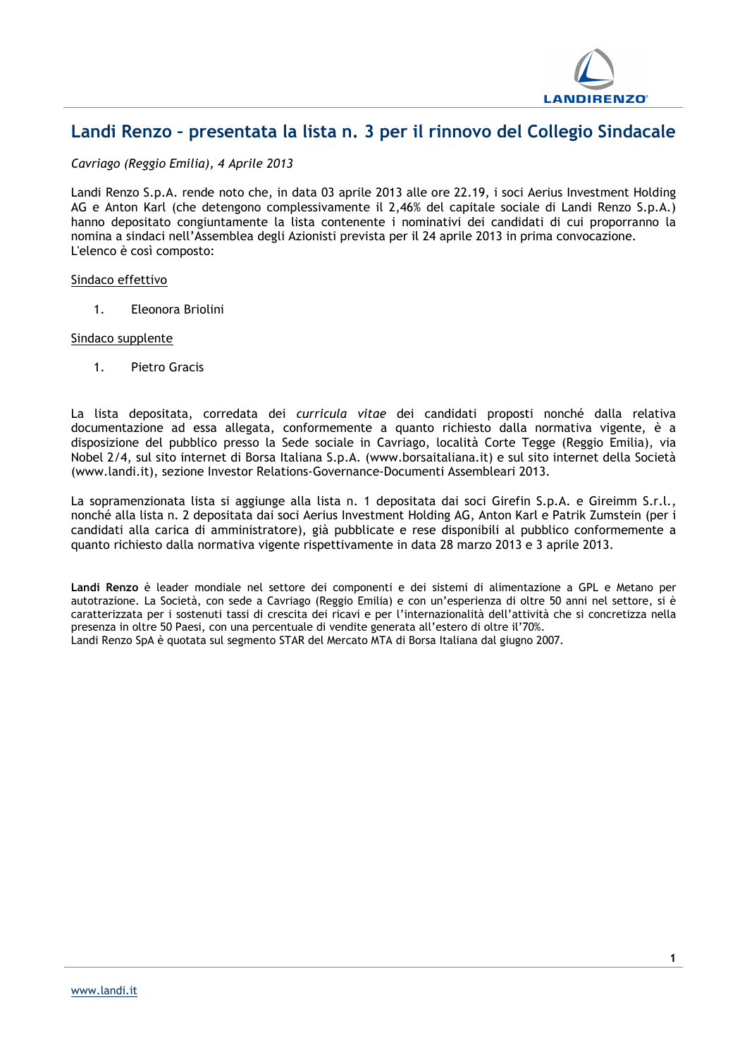

## **Landi Renzo – presentata la lista n. 3 per il rinnovo del Collegio Sindacale**

*Cavriago (Reggio Emilia), 4 Aprile 2013*

Landi Renzo S.p.A. rende noto che, in data 03 aprile 2013 alle ore 22.19, i soci Aerius Investment Holding AG e Anton Karl (che detengono complessivamente il 2,46% del capitale sociale di Landi Renzo S.p.A.) hanno depositato congiuntamente la lista contenente i nominativi dei candidati di cui proporranno la nomina a sindaci nell'Assemblea degli Azionisti prevista per il 24 aprile 2013 in prima convocazione. L'elenco è così composto:

### Sindaco effettivo

1. Eleonora Briolini

### Sindaco supplente

1. Pietro Gracis

La lista depositata, corredata dei *curricula vitae* dei candidati proposti nonché dalla relativa documentazione ad essa allegata, conformemente a quanto richiesto dalla normativa vigente, è a disposizione del pubblico presso la Sede sociale in Cavriago, località Corte Tegge (Reggio Emilia), via Nobel 2/4, sul sito internet di Borsa Italiana S.p.A. (www.borsaitaliana.it) e sul sito internet della Società (www.landi.it), sezione Investor Relations-Governance-Documenti Assembleari 2013.

La sopramenzionata lista si aggiunge alla lista n. 1 depositata dai soci Girefin S.p.A. e Gireimm S.r.l., nonché alla lista n. 2 depositata dai soci Aerius Investment Holding AG, Anton Karl e Patrik Zumstein (per i candidati alla carica di amministratore), già pubblicate e rese disponibili al pubblico conformemente a quanto richiesto dalla normativa vigente rispettivamente in data 28 marzo 2013 e 3 aprile 2013.

**Landi Renzo** è leader mondiale nel settore dei componenti e dei sistemi di alimentazione a GPL e Metano per autotrazione. La Società, con sede a Cavriago (Reggio Emilia) e con un'esperienza di oltre 50 anni nel settore, si è caratterizzata per i sostenuti tassi di crescita dei ricavi e per l'internazionalità dell'attività che si concretizza nella presenza in oltre 50 Paesi, con una percentuale di vendite generata all'estero di oltre il'70%. Landi Renzo SpA è quotata sul segmento STAR del Mercato MTA di Borsa Italiana dal giugno 2007.